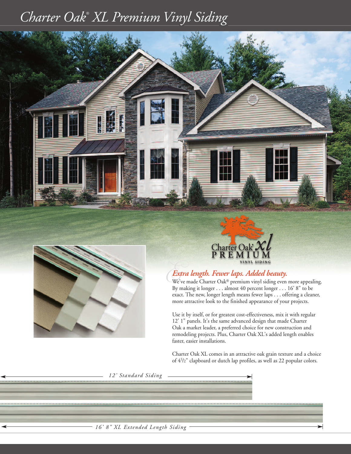## *Charter Oak ® XL Premium Vinyl Siding*







# *EExtra length. Fewer laps. Added beauty.* We've made Charter Oak® premium vinyl siding even more appealing.

By making it longer . . . almost 40 percent longer . . . 16' 8" to be exact. The new, longer length means fewer laps . . . offering a cleaner, more attractive look to the finished appearance of your projects.

Use it by itself, or for greatest cost-effectiveness, mix it with regular 12' 1" panels. It's the same advanced design that made Charter Oak a market leader, a preferred choice for new construction and remodeling projects. Plus, Charter Oak XL's added length enables faster, easier installations.

Charter Oak XL comes in an attractive oak grain texture and a choice of 41 /2" clapboard or dutch lap profiles, as well as 22 popular colors.

*12' Standard Siding*

*16' 8" XL Extended Length Siding*